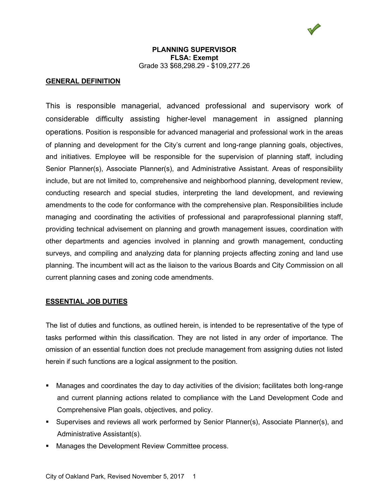#### **GENERAL DEFINITION**

This is responsible managerial, advanced professional and supervisory work of considerable difficulty assisting higher-level management in assigned planning operations. Position is responsible for advanced managerial and professional work in the areas of planning and development for the City's current and long-range planning goals, objectives, and initiatives. Employee will be responsible for the supervision of planning staff, including Senior Planner(s), Associate Planner(s), and Administrative Assistant. Areas of responsibility include, but are not limited to, comprehensive and neighborhood planning, development review, conducting research and special studies, interpreting the land development, and reviewing amendments to the code for conformance with the comprehensive plan. Responsibilities include managing and coordinating the activities of professional and paraprofessional planning staff, providing technical advisement on planning and growth management issues, coordination with other departments and agencies involved in planning and growth management, conducting surveys, and compiling and analyzing data for planning projects affecting zoning and land use planning. The incumbent will act as the liaison to the various Boards and City Commission on all current planning cases and zoning code amendments.

#### **ESSENTIAL JOB DUTIES**

The list of duties and functions, as outlined herein, is intended to be representative of the type of tasks performed within this classification. They are not listed in any order of importance. The omission of an essential function does not preclude management from assigning duties not listed herein if such functions are a logical assignment to the position.

- Manages and coordinates the day to day activities of the division; facilitates both long-range and current planning actions related to compliance with the Land Development Code and Comprehensive Plan goals, objectives, and policy.
- Supervises and reviews all work performed by Senior Planner(s), Associate Planner(s), and Administrative Assistant(s).
- **Manages the Development Review Committee process.**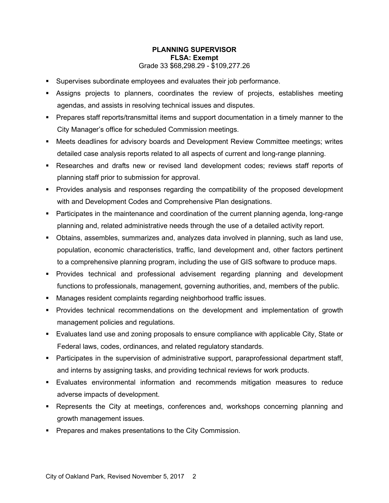- Supervises subordinate employees and evaluates their job performance.
- Assigns projects to planners, coordinates the review of projects, establishes meeting agendas, and assists in resolving technical issues and disputes.
- Prepares staff reports/transmittal items and support documentation in a timely manner to the City Manager's office for scheduled Commission meetings.
- Meets deadlines for advisory boards and Development Review Committee meetings; writes detailed case analysis reports related to all aspects of current and long-range planning.
- Researches and drafts new or revised land development codes; reviews staff reports of planning staff prior to submission for approval.
- Provides analysis and responses regarding the compatibility of the proposed development with and Development Codes and Comprehensive Plan designations.
- Participates in the maintenance and coordination of the current planning agenda, long-range planning and, related administrative needs through the use of a detailed activity report.
- Obtains, assembles, summarizes and, analyzes data involved in planning, such as land use, population, economic characteristics, traffic, land development and, other factors pertinent to a comprehensive planning program, including the use of GIS software to produce maps.
- Provides technical and professional advisement regarding planning and development functions to professionals, management, governing authorities, and, members of the public.
- Manages resident complaints regarding neighborhood traffic issues.
- Provides technical recommendations on the development and implementation of growth management policies and regulations.
- Evaluates land use and zoning proposals to ensure compliance with applicable City, State or Federal laws, codes, ordinances, and related regulatory standards.
- **Participates in the supervision of administrative support, paraprofessional department staff,** and interns by assigning tasks, and providing technical reviews for work products.
- Evaluates environmental information and recommends mitigation measures to reduce adverse impacts of development.
- Represents the City at meetings, conferences and, workshops concerning planning and growth management issues.
- **Prepares and makes presentations to the City Commission.**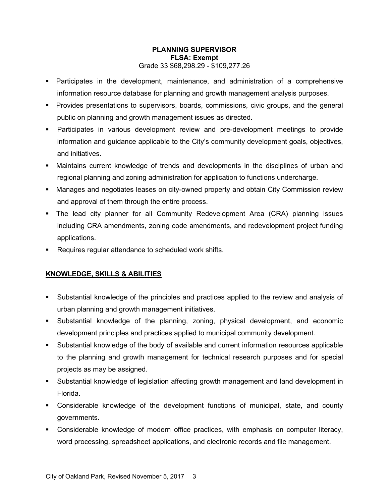- Participates in the development, maintenance, and administration of a comprehensive information resource database for planning and growth management analysis purposes.
- Provides presentations to supervisors, boards, commissions, civic groups, and the general public on planning and growth management issues as directed.
- Participates in various development review and pre-development meetings to provide information and guidance applicable to the City's community development goals, objectives, and initiatives.
- Maintains current knowledge of trends and developments in the disciplines of urban and regional planning and zoning administration for application to functions undercharge.
- Manages and negotiates leases on city-owned property and obtain City Commission review and approval of them through the entire process.
- The lead city planner for all Community Redevelopment Area (CRA) planning issues including CRA amendments, zoning code amendments, and redevelopment project funding applications.
- **Requires regular attendance to scheduled work shifts.**

# **KNOWLEDGE, SKILLS & ABILITIES**

- Substantial knowledge of the principles and practices applied to the review and analysis of urban planning and growth management initiatives.
- Substantial knowledge of the planning, zoning, physical development, and economic development principles and practices applied to municipal community development.
- Substantial knowledge of the body of available and current information resources applicable to the planning and growth management for technical research purposes and for special projects as may be assigned.
- Substantial knowledge of legislation affecting growth management and land development in Florida.
- Considerable knowledge of the development functions of municipal, state, and county governments.
- Considerable knowledge of modern office practices, with emphasis on computer literacy, word processing, spreadsheet applications, and electronic records and file management.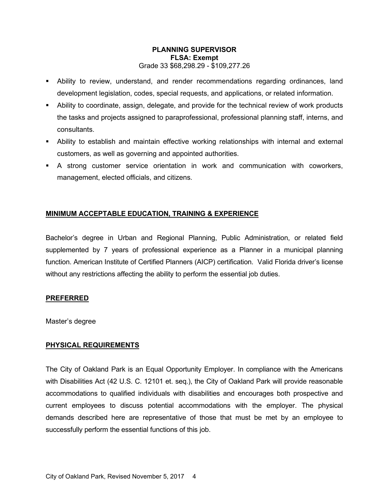- Ability to review, understand, and render recommendations regarding ordinances, land development legislation, codes, special requests, and applications, or related information.
- Ability to coordinate, assign, delegate, and provide for the technical review of work products the tasks and projects assigned to paraprofessional, professional planning staff, interns, and consultants.
- Ability to establish and maintain effective working relationships with internal and external customers, as well as governing and appointed authorities.
- A strong customer service orientation in work and communication with coworkers, management, elected officials, and citizens.

### **MINIMUM ACCEPTABLE EDUCATION, TRAINING & EXPERIENCE**

Bachelor's degree in Urban and Regional Planning, Public Administration, or related field supplemented by 7 years of professional experience as a Planner in a municipal planning function. American Institute of Certified Planners (AICP) certification. Valid Florida driver's license without any restrictions affecting the ability to perform the essential job duties.

### **PREFERRED**

Master's degree

### **PHYSICAL REQUIREMENTS**

The City of Oakland Park is an Equal Opportunity Employer. In compliance with the Americans with Disabilities Act (42 U.S. C. 12101 et. seq.), the City of Oakland Park will provide reasonable accommodations to qualified individuals with disabilities and encourages both prospective and current employees to discuss potential accommodations with the employer. The physical demands described here are representative of those that must be met by an employee to successfully perform the essential functions of this job.